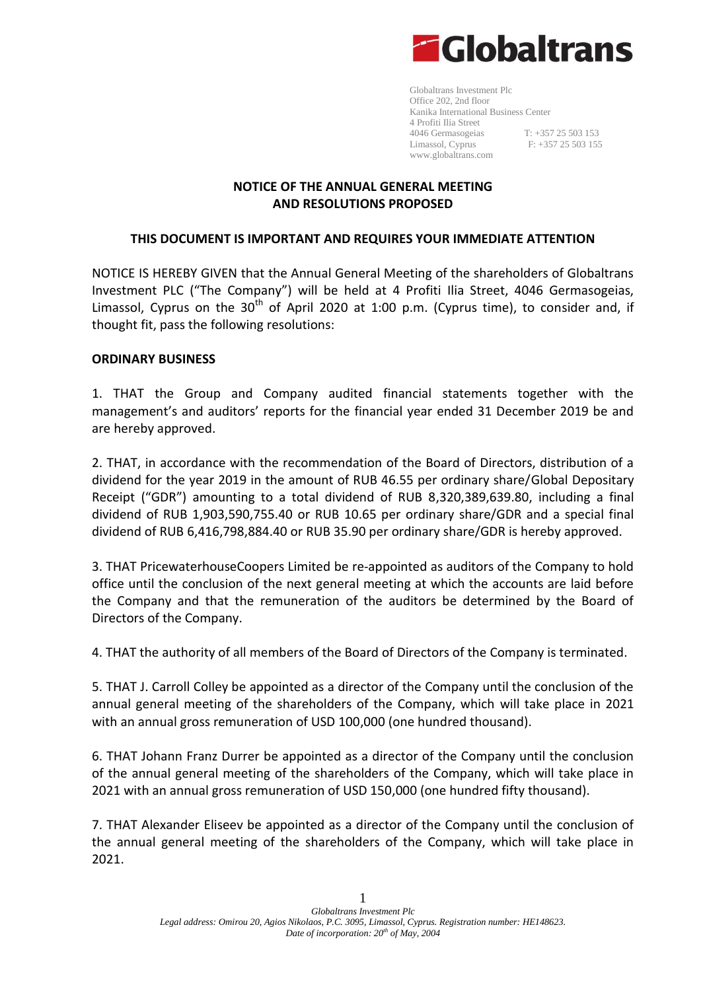

Globaltrans Investment Plc Office 202, 2nd floor Kanika International Business Center 4 Profiti Ilia Street 4046 Germasogeias T: +357 25 503 153 Limassol, Cyprus F: +357 25 503 155 [www.globaltrans.com](http://www.globaltrans.com/)

### **NOTICE OF THE ANNUAL GENERAL MEETING AND RESOLUTIONS PROPOSED**

### **THIS DOCUMENT IS IMPORTANT AND REQUIRES YOUR IMMEDIATE ATTENTION**

NOTICE IS HEREBY GIVEN that the Annual General Meeting of the shareholders of Globaltrans Investment PLC ("The Company") will be held at 4 Profiti Ilia Street, 4046 Germasogeias, Limassol, Cyprus on the  $30<sup>th</sup>$  of April 2020 at 1:00 p.m. (Cyprus time), to consider and, if thought fit, pass the following resolutions:

### **ORDINARY BUSINESS**

1. THAT the Group and Company audited financial statements together with the management's and auditors' reports for the financial year ended 31 December 2019 be and are hereby approved.

2. THAT, in accordance with the recommendation of the Board of Directors, distribution of a dividend for the year 2019 in the amount of RUB 46.55 per ordinary share/Global Depositary Receipt ("GDR") amounting to a total dividend of RUB 8,320,389,639.80, including a final dividend of RUB 1,903,590,755.40 or RUB 10.65 per ordinary share/GDR and a special final dividend of RUB 6,416,798,884.40 or RUB 35.90 per ordinary share/GDR is hereby approved.

3. THAT PricewaterhouseCoopers Limited be re-appointed as auditors of the Company to hold office until the conclusion of the next general meeting at which the accounts are laid before the Company and that the remuneration of the auditors be determined by the Board of Directors of the Company.

4. THAT the authority of all members of the Board of Directors of the Company is terminated.

5. THAT J. Carroll Colley be appointed as a director of the Company until the conclusion of the annual general meeting of the shareholders of the Company, which will take place in 2021 with an annual gross remuneration of USD 100,000 (one hundred thousand).

6. THAT Johann Franz Durrer be appointed as a director of the Company until the conclusion of the annual general meeting of the shareholders of the Company, which will take place in 2021 with an annual gross remuneration of USD 150,000 (one hundred fifty thousand).

7. THAT Alexander Eliseev be appointed as a director of the Company until the conclusion of the annual general meeting of the shareholders of the Company, which will take place in 2021.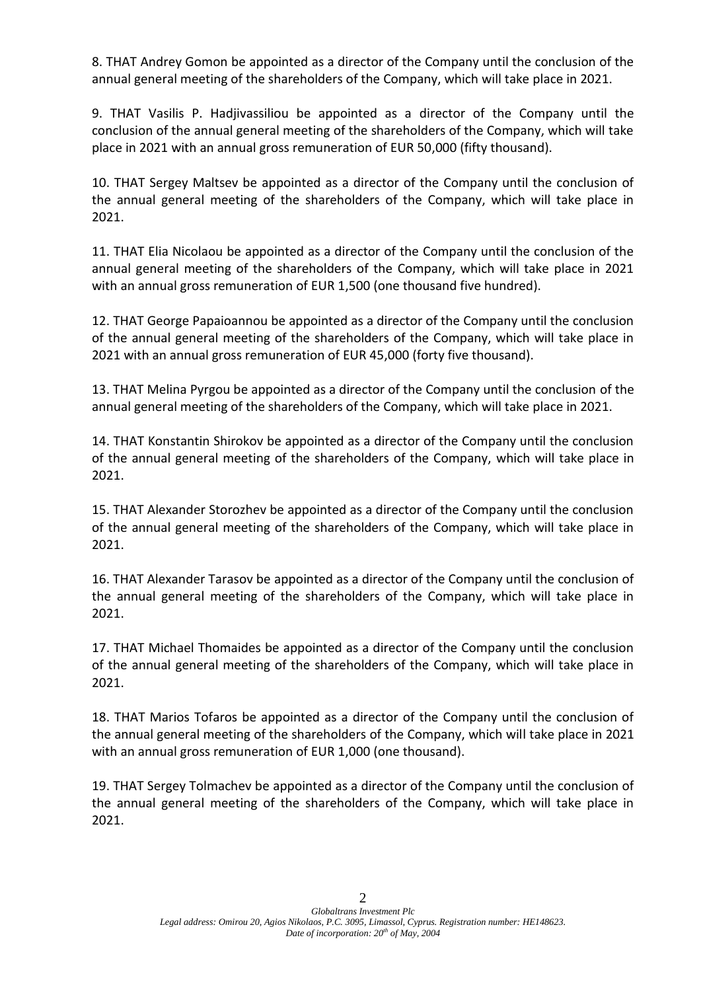8. THAT Andrey Gomon be appointed as a director of the Company until the conclusion of the annual general meeting of the shareholders of the Company, which will take place in 2021.

9. THAT Vasilis P. Hadjivassiliou be appointed as a director of the Company until the conclusion of the annual general meeting of the shareholders of the Company, which will take place in 2021 with an annual gross remuneration of EUR 50,000 (fifty thousand).

10. THAT Sergey Maltsev be appointed as a director of the Company until the conclusion of the annual general meeting of the shareholders of the Company, which will take place in 2021.

11. THAT Elia Nicolaou be appointed as a director of the Company until the conclusion of the annual general meeting of the shareholders of the Company, which will take place in 2021 with an annual gross remuneration of EUR 1,500 (one thousand five hundred).

12. THAT George Papaioannou be appointed as a director of the Company until the conclusion of the annual general meeting of the shareholders of the Company, which will take place in 2021 with an annual gross remuneration of EUR 45,000 (forty five thousand).

13. THAT Melina Pyrgou be appointed as a director of the Company until the conclusion of the annual general meeting of the shareholders of the Company, which will take place in 2021.

14. THAT Konstantin Shirokov be appointed as a director of the Company until the conclusion of the annual general meeting of the shareholders of the Company, which will take place in 2021.

15. THAT Alexander Storozhev be appointed as a director of the Company until the conclusion of the annual general meeting of the shareholders of the Company, which will take place in 2021.

16. THAT Alexander Tarasov be appointed as a director of the Company until the conclusion of the annual general meeting of the shareholders of the Company, which will take place in 2021.

17. THAT Michael Thomaides be appointed as a director of the Company until the conclusion of the annual general meeting of the shareholders of the Company, which will take place in 2021.

18. THAT Marios Tofaros be appointed as a director of the Company until the conclusion of the annual general meeting of the shareholders of the Company, which will take place in 2021 with an annual gross remuneration of EUR 1,000 (one thousand).

19. THAT Sergey Tolmachev be appointed as a director of the Company until the conclusion of the annual general meeting of the shareholders of the Company, which will take place in 2021.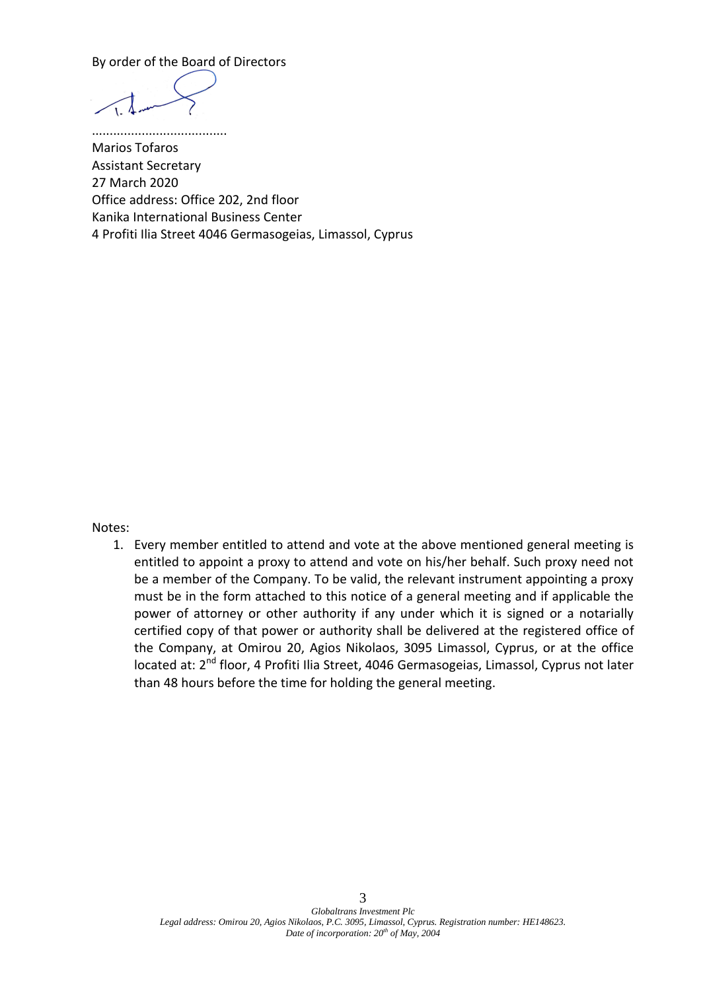By order of the Board of Directors

......................................

Marios Tofaros Assistant Secretary 27 March 2020 Office address: Office 202, 2nd floor Kanika International Business Center 4 Profiti Ilia Street 4046 Germasogeias, Limassol, Cyprus

Notes:

1. Every member entitled to attend and vote at the above mentioned general meeting is entitled to appoint a proxy to attend and vote on his/her behalf. Such proxy need not be a member of the Company. To be valid, the relevant instrument appointing a proxy must be in the form attached to this notice of a general meeting and if applicable the power of attorney or other authority if any under which it is signed or a notarially certified copy of that power or authority shall be delivered at the registered office of the Company, at Omirou 20, Agios Nikolaos, 3095 Limassol, Cyprus, or at the office located at: 2<sup>nd</sup> floor, 4 Profiti Ilia Street, 4046 Germasogeias, Limassol, Cyprus not later than 48 hours before the time for holding the general meeting.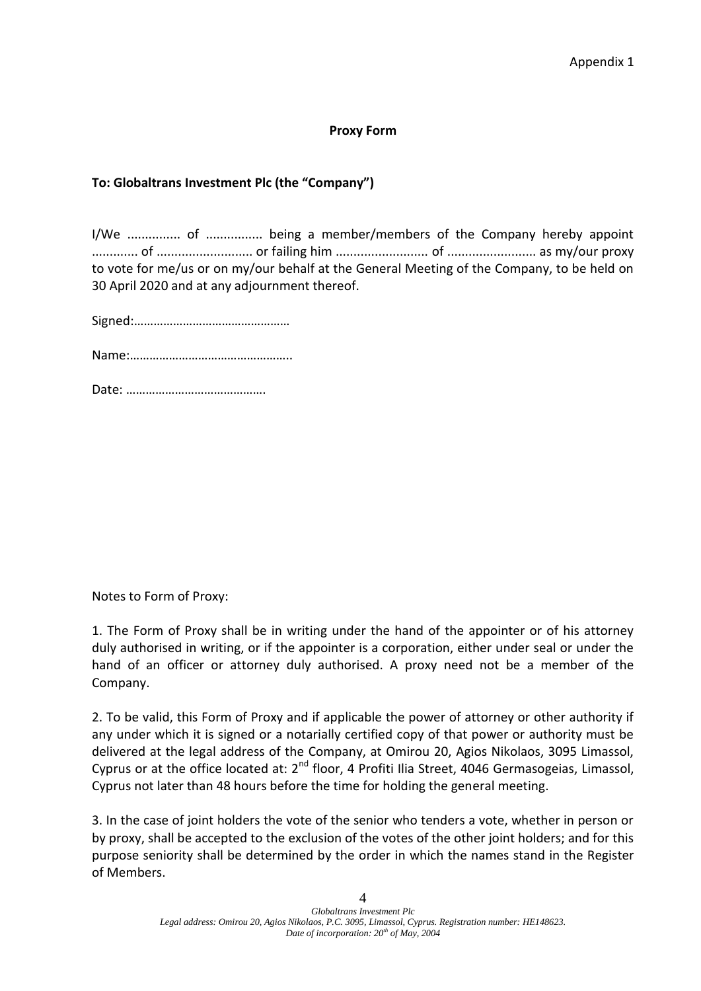#### **Proxy Form**

## **To: Globaltrans Investment Plc (the "Company")**

I/We ............... of ................ being a member/members of the Company hereby appoint ............. of ........................... or failing him .......................... of ......................... as my/our proxy to vote for me/us or on my/our behalf at the General Meeting of the Company, to be held on 30 April 2020 and at any adjournment thereof.

Signed:…………………………………………

Name:…………………………………………..

Date: …………………………………….

Notes to Form of Proxy:

1. The Form of Proxy shall be in writing under the hand of the appointer or of his attorney duly authorised in writing, or if the appointer is a corporation, either under seal or under the hand of an officer or attorney duly authorised. A proxy need not be a member of the Company.

2. To be valid, this Form of Proxy and if applicable the power of attorney or other authority if any under which it is signed or a notarially certified copy of that power or authority must be delivered at the legal address of the Company, at Omirou 20, Agios Nikolaos, 3095 Limassol, Cyprus or at the office located at: 2<sup>nd</sup> floor, 4 Profiti Ilia Street, 4046 Germasogeias, Limassol, Cyprus not later than 48 hours before the time for holding the general meeting.

3. In the case of joint holders the vote of the senior who tenders a vote, whether in person or by proxy, shall be accepted to the exclusion of the votes of the other joint holders; and for this purpose seniority shall be determined by the order in which the names stand in the Register of Members.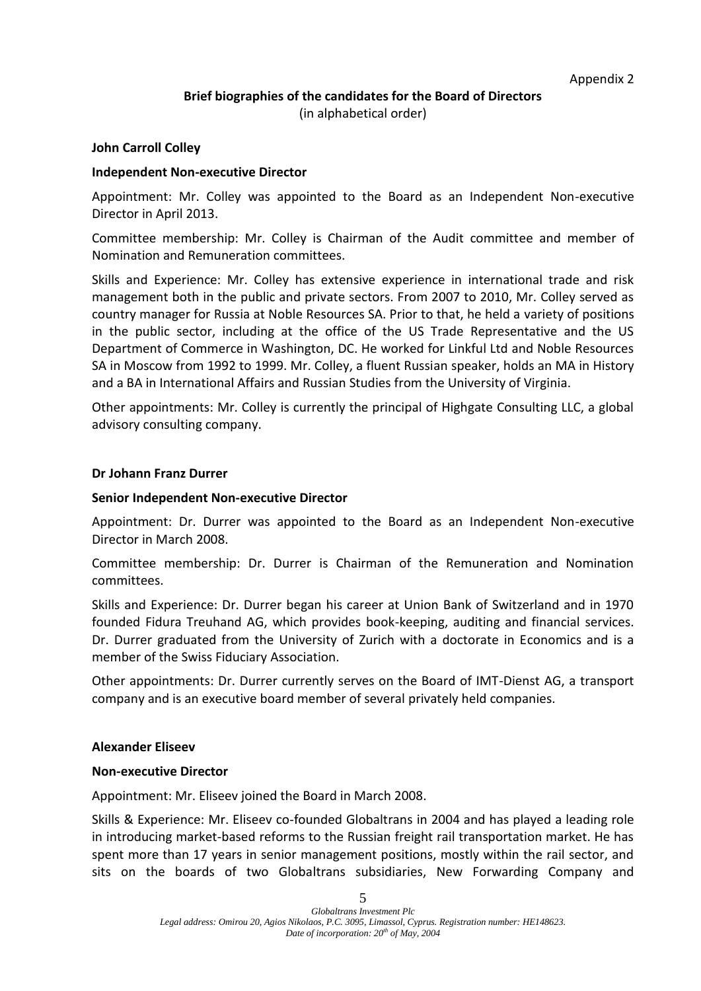# **Brief biographies of the candidates for the Board of Directors**

(in alphabetical order)

### **John Carroll Colley**

### **Independent Non-executive Director**

Appointment: Mr. Colley was appointed to the Board as an Independent Non-executive Director in April 2013.

Committee membership: Mr. Colley is Chairman of the Audit committee and member of Nomination and Remuneration committees.

Skills and Experience: Mr. Colley has extensive experience in international trade and risk management both in the public and private sectors. From 2007 to 2010, Mr. Colley served as country manager for Russia at Noble Resources SA. Prior to that, he held a variety of positions in the public sector, including at the office of the US Trade Representative and the US Department of Commerce in Washington, DC. He worked for Linkful Ltd and Noble Resources SA in Moscow from 1992 to 1999. Mr. Colley, a fluent Russian speaker, holds an MA in History and a BA in International Affairs and Russian Studies from the University of Virginia.

Other appointments: Mr. Colley is currently the principal of Highgate Consulting LLC, a global advisory consulting company.

#### **Dr Johann Franz Durrer**

#### **Senior Independent Non-executive Director**

Appointment: Dr. Durrer was appointed to the Board as an Independent Non-executive Director in March 2008.

Committee membership: Dr. Durrer is Chairman of the Remuneration and Nomination committees.

Skills and Experience: Dr. Durrer began his career at Union Bank of Switzerland and in 1970 founded Fidura Treuhand AG, which provides book-keeping, auditing and financial services. Dr. Durrer graduated from the University of Zurich with a doctorate in Economics and is a member of the Swiss Fiduciary Association.

Other appointments: Dr. Durrer currently serves on the Board of IMT-Dienst AG, a transport company and is an executive board member of several privately held companies.

### **Alexander Eliseev**

### **Non-executive Director**

Appointment: Mr. Eliseev joined the Board in March 2008.

Skills & Experience: Mr. Eliseev co-founded Globaltrans in 2004 and has played a leading role in introducing market-based reforms to the Russian freight rail transportation market. He has spent more than 17 years in senior management positions, mostly within the rail sector, and sits on the boards of two Globaltrans subsidiaries, New Forwarding Company and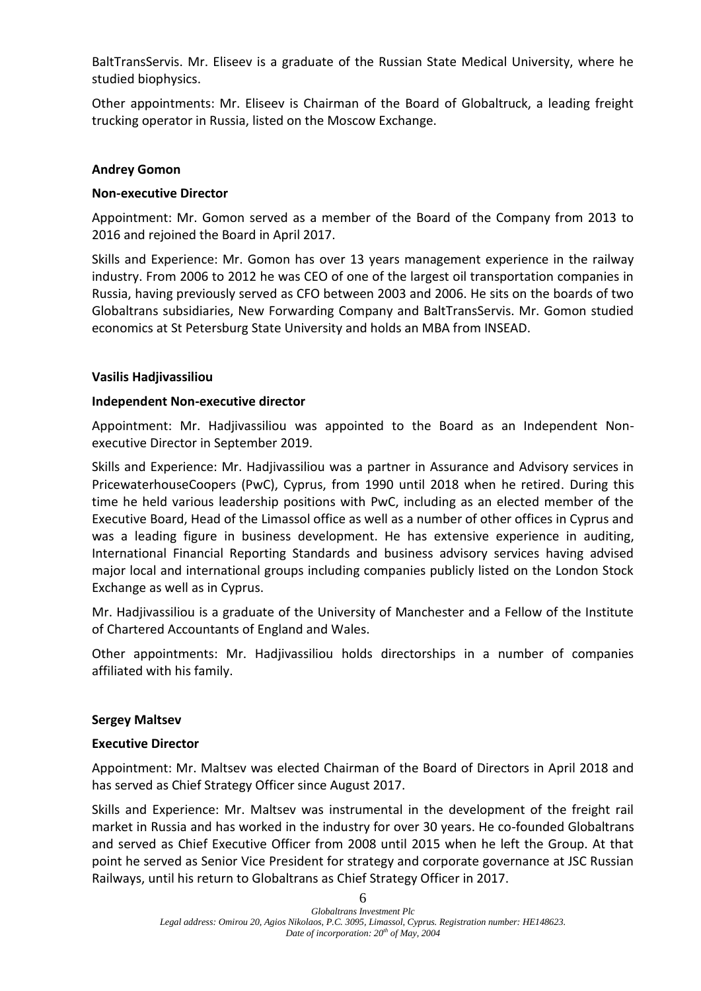BaltTransServis. Mr. Eliseev is a graduate of the Russian State Medical University, where he studied biophysics.

Other appointments: Mr. Eliseev is Chairman of the Board of Globaltruck, a leading freight trucking operator in Russia, listed on the Moscow Exchange.

### **Andrey Gomon**

## **Non-executive Director**

Appointment: Mr. Gomon served as a member of the Board of the Company from 2013 to 2016 and rejoined the Board in April 2017.

Skills and Experience: Mr. Gomon has over 13 years management experience in the railway industry. From 2006 to 2012 he was CEO of one of the largest oil transportation companies in Russia, having previously served as CFO between 2003 and 2006. He sits on the boards of two Globaltrans subsidiaries, New Forwarding Company and BaltTransServis. Mr. Gomon studied economics at St Petersburg State University and holds an MBA from INSEAD.

## **Vasilis Hadjivassiliou**

## **Independent Non-executive director**

Appointment: Mr. Hadjivassiliou was appointed to the Board as an Independent Nonexecutive Director in September 2019.

Skills and Experience: Mr. Hadjivassiliou was a partner in Assurance and Advisory services in PricewaterhouseCoopers (PwC), Cyprus, from 1990 until 2018 when he retired. During this time he held various leadership positions with PwC, including as an elected member of the Executive Board, Head of the Limassol office as well as a number of other offices in Cyprus and was a leading figure in business development. He has extensive experience in auditing, International Financial Reporting Standards and business advisory services having advised major local and international groups including companies publicly listed on the London Stock Exchange as well as in Cyprus.

Mr. Hadjivassiliou is a graduate of the University of Manchester and a Fellow of the Institute of Chartered Accountants of England and Wales.

Other appointments: Mr. Hadjivassiliou holds directorships in a number of companies affiliated with his family.

### **Sergey Maltsev**

### **Executive Director**

Appointment: Mr. Maltsev was elected Chairman of the Board of Directors in April 2018 and has served as Chief Strategy Officer since August 2017.

Skills and Experience: Mr. Maltsev was instrumental in the development of the freight rail market in Russia and has worked in the industry for over 30 years. He co-founded Globaltrans and served as Chief Executive Officer from 2008 until 2015 when he left the Group. At that point he served as Senior Vice President for strategy and corporate governance at JSC Russian Railways, until his return to Globaltrans as Chief Strategy Officer in 2017.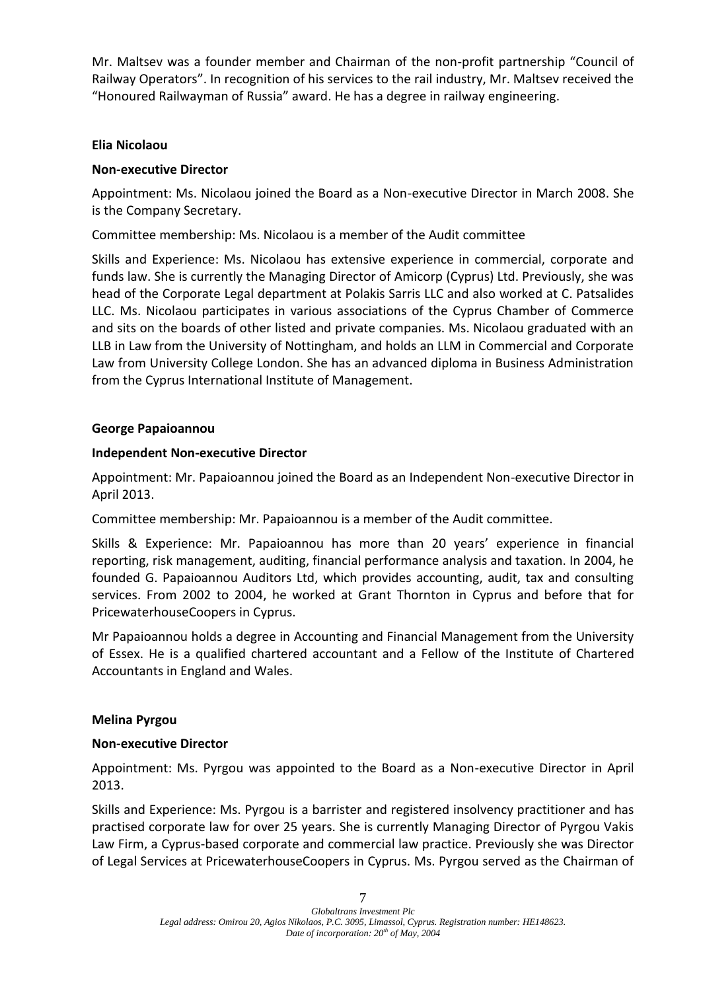Mr. Maltsev was a founder member and Chairman of the non-profit partnership "Council of Railway Operators". In recognition of his services to the rail industry, Mr. Maltsev received the "Honoured Railwayman of Russia" award. He has a degree in railway engineering.

## **Elia Nicolaou**

# **Non-executive Director**

Appointment: Ms. Nicolaou joined the Board as a Non-executive Director in March 2008. She is the Company Secretary.

Committee membership: Ms. Nicolaou is a member of the Audit committee

Skills and Experience: Ms. Nicolaou has extensive experience in commercial, corporate and funds law. She is currently the Managing Director of Amicorp (Cyprus) Ltd. Previously, she was head of the Corporate Legal department at Polakis Sarris LLC and also worked at C. Patsalides LLC. Ms. Nicolaou participates in various associations of the Cyprus Chamber of Commerce and sits on the boards of other listed and private companies. Ms. Nicolaou graduated with an LLB in Law from the University of Nottingham, and holds an LLM in Commercial and Corporate Law from University College London. She has an advanced diploma in Business Administration from the Cyprus International Institute of Management.

### **George Papaioannou**

### **Independent Non-executive Director**

Appointment: Mr. Papaioannou joined the Board as an Independent Non-executive Director in April 2013.

Committee membership: Mr. Papaioannou is a member of the Audit committee.

Skills & Experience: Mr. Papaioannou has more than 20 years' experience in financial reporting, risk management, auditing, financial performance analysis and taxation. In 2004, he founded G. Papaioannou Auditors Ltd, which provides accounting, audit, tax and consulting services. From 2002 to 2004, he worked at Grant Thornton in Cyprus and before that for PricewaterhouseCoopers in Cyprus.

Mr Papaioannou holds a degree in Accounting and Financial Management from the University of Essex. He is a qualified chartered accountant and a Fellow of the Institute of Chartered Accountants in England and Wales.

### **Melina Pyrgou**

### **Non-executive Director**

Appointment: Ms. Pyrgou was appointed to the Board as a Non-executive Director in April 2013.

Skills and Experience: Ms. Pyrgou is a barrister and registered insolvency practitioner and has practised corporate law for over 25 years. She is currently Managing Director of Pyrgou Vakis Law Firm, a Cyprus-based corporate and commercial law practice. Previously she was Director of Legal Services at PricewaterhouseCoopers in Cyprus. Ms. Pyrgou served as the Chairman of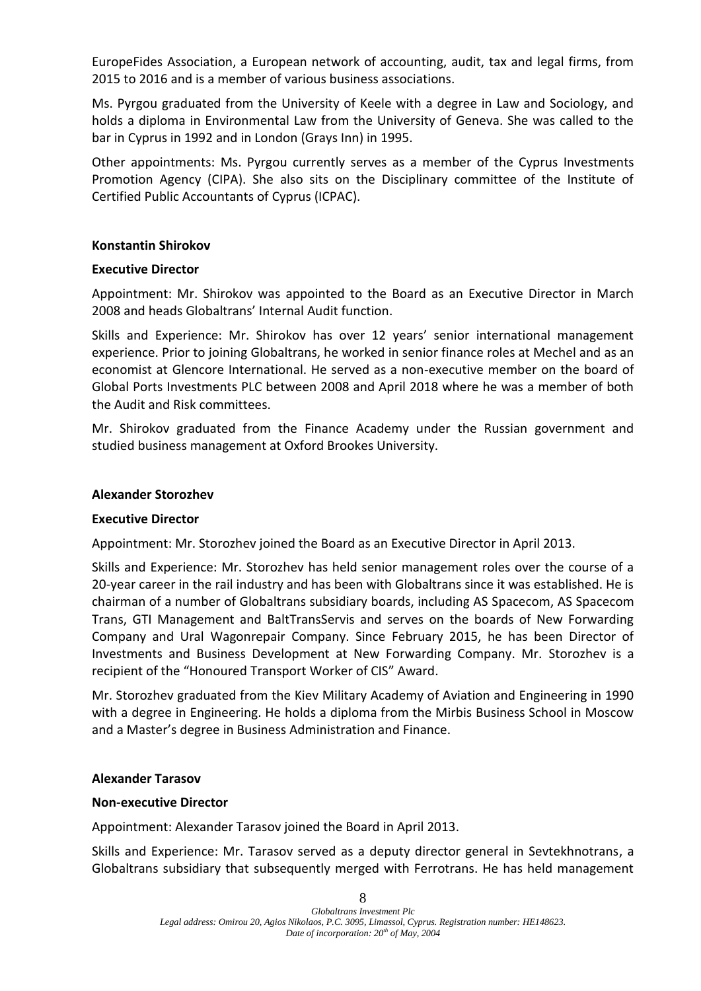EuropeFides Association, a European network of accounting, audit, tax and legal firms, from 2015 to 2016 and is a member of various business associations.

Ms. Pyrgou graduated from the University of Keele with a degree in Law and Sociology, and holds a diploma in Environmental Law from the University of Geneva. She was called to the bar in Cyprus in 1992 and in London (Grays Inn) in 1995.

Other appointments: Ms. Pyrgou currently serves as a member of the Cyprus Investments Promotion Agency (CIPA). She also sits on the Disciplinary committee of the Institute of Certified Public Accountants of Cyprus (ICPAC).

### **Konstantin Shirokov**

### **Executive Director**

Appointment: Mr. Shirokov was appointed to the Board as an Executive Director in March 2008 and heads Globaltrans' Internal Audit function.

Skills and Experience: Mr. Shirokov has over 12 years' senior international management experience. Prior to joining Globaltrans, he worked in senior finance roles at Mechel and as an economist at Glencore International. He served as a non-executive member on the board of Global Ports Investments PLC between 2008 and April 2018 where he was a member of both the Audit and Risk committees.

Mr. Shirokov graduated from the Finance Academy under the Russian government and studied business management at Oxford Brookes University.

### **Alexander Storozhev**

### **Executive Director**

Appointment: Mr. Storozhev joined the Board as an Executive Director in April 2013.

Skills and Experience: Mr. Storozhev has held senior management roles over the course of a 20-year career in the rail industry and has been with Globaltrans since it was established. He is chairman of a number of Globaltrans subsidiary boards, including AS Spacecom, AS Spacecom Trans, GTI Management and BaltTransServis and serves on the boards of New Forwarding Company and Ural Wagonrepair Company. Since February 2015, he has been Director of Investments and Business Development at New Forwarding Company. Mr. Storozhev is a recipient of the "Honoured Transport Worker of CIS" Award.

Mr. Storozhev graduated from the Kiev Military Academy of Aviation and Engineering in 1990 with a degree in Engineering. He holds a diploma from the Mirbis Business School in Moscow and a Master's degree in Business Administration and Finance.

### **Alexander Tarasov**

### **Non-executive Director**

Appointment: Alexander Tarasov joined the Board in April 2013.

Skills and Experience: Mr. Tarasov served as a deputy director general in Sevtekhnotrans, a Globaltrans subsidiary that subsequently merged with Ferrotrans. He has held management